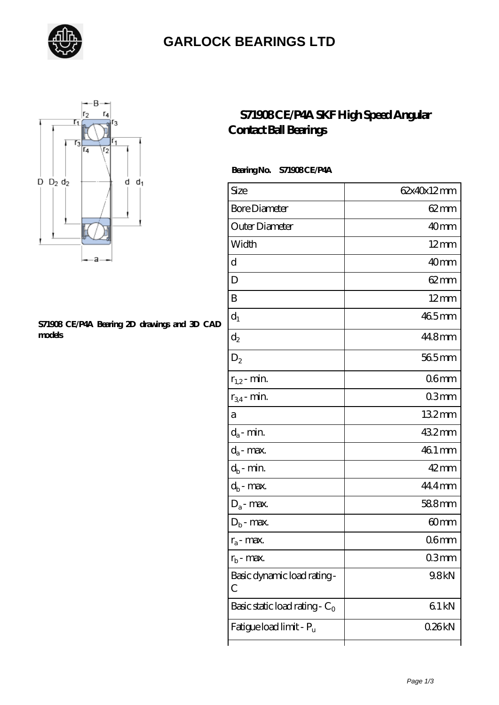

### **[GARLOCK BEARINGS LTD](https://letterstopriests.com)**



#### **[S71908 CE/P4A Bearing 2D drawings and 3D CAD](https://letterstopriests.com/pic-935227.html) [models](https://letterstopriests.com/pic-935227.html)**

### **[S71908 CE/P4A SKF High Speed Angular](https://letterstopriests.com/skf-bearing/s71908-ce-p4a.html) [Contact Ball Bearings](https://letterstopriests.com/skf-bearing/s71908-ce-p4a.html)**

#### **Bearing No. S71908 CE/P4A**

| Size                             | 62x40x12mm         |
|----------------------------------|--------------------|
| <b>Bore Diameter</b>             | $62 \text{mm}$     |
| Outer Diameter                   | 40mm               |
| Width                            | $12 \text{mm}$     |
| d                                | 40 <sub>mm</sub>   |
| D                                | $62 \text{mm}$     |
| B                                | $12 \text{mm}$     |
| $d_1$                            | 465mm              |
| $\mathrm{d}_2$                   | 44.8mm             |
| $D_2$                            | 565mm              |
| $r_{1,2}$ - min.                 | 06 <sub>mm</sub>   |
| $r_{34}$ - min.                  | 03mm               |
| а                                | 132mm              |
| $d_a$ - min.                     | 432mm              |
| $d_a$ - max.                     | 46.1 mm            |
| $d_b$ - min.                     | $42 \,\mathrm{mm}$ |
| $d_b$ - max.                     | 44.4mm             |
| $D_a$ - max.                     | 588mm              |
| $D_b$ - max.                     | 60 <sub>mm</sub>   |
| $r_a$ - max.                     | 06mm               |
| $r_{\rm b}$ - max.               | 03mm               |
| Basic dynamic load rating-<br>С  | 9.8kN              |
| Basic static load rating - $C_0$ | 61kN               |
| Fatigue load limit - Pu          | 026kN              |
|                                  |                    |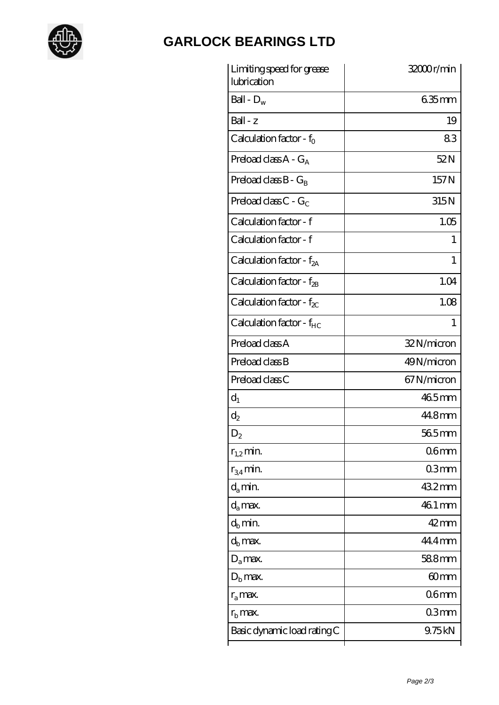

# **[GARLOCK BEARINGS LTD](https://letterstopriests.com)**

| Limiting speed for grease<br>lubrication | 32000r/min         |
|------------------------------------------|--------------------|
| Ball - $D_w$                             | $635$ mm           |
| $Ball - z$                               | 19                 |
| Calculation factor - $f_0$               | 83                 |
| Preload class $A - G_A$                  | 52N                |
| Preload class $B - G_B$                  | 157N               |
| Preload class C - $G_C$                  | 315N               |
| Calculation factor - f                   | 1.05               |
| Calculation factor - f                   | 1                  |
| Calculation factor - $f_{2A}$            | 1                  |
| Calculation factor - $f_{2B}$            | 1.04               |
| Calculation factor - $f_{\chi}$          | 1.08               |
| Calculation factor - f <sub>HC</sub>     | 1                  |
| Preload class A                          | 32N/micron         |
| Preload class B                          | 49N/micron         |
| Preload class C                          | 67N/micron         |
| $d_1$                                    | 465mm              |
| $d_2$                                    | 44.8mm             |
| $\mathrm{D}_2$                           | 565mm              |
| $r_{1,2}$ min.                           | 06 <sub>mm</sub>   |
| $r_{34}$ min.                            | 03mm               |
| $d_{a}$ min.                             | 432mm              |
| $d_a$ max.                               | 46.1 mm            |
| $d_h$ min.                               | $42 \,\mathrm{mm}$ |
| $d_h$ max.                               | 44.4mm             |
| $D_a$ max.                               | 588mm              |
| $D_{\rm b}$ max.                         | 60mm               |
| $r_a$ max.                               | 06 <sub>mm</sub>   |
| $r_{\rm b}$ max.                         | 03mm               |
| Basic dynamic load rating C              | 9.75kN             |
|                                          |                    |